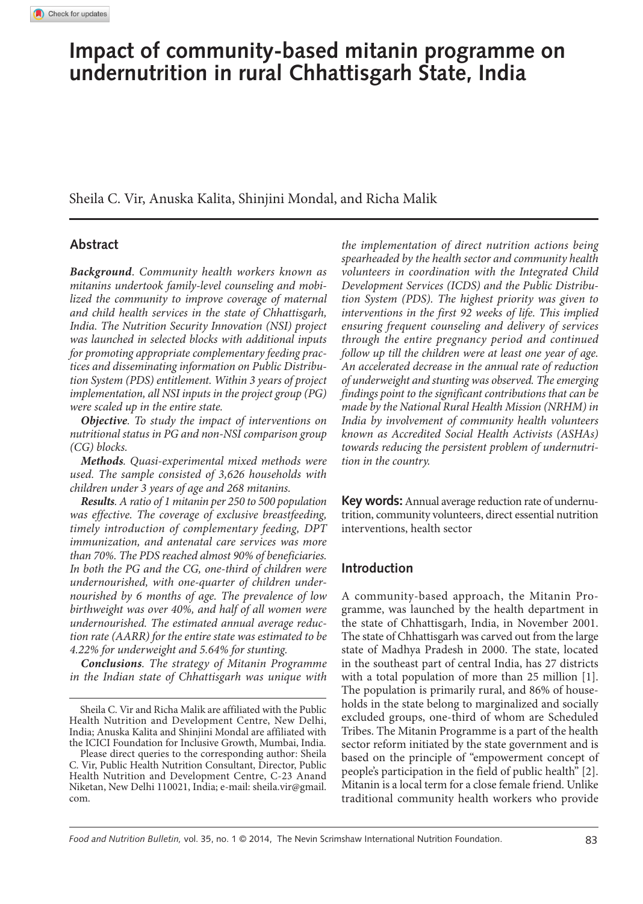# **Impact of community-based mitanin programme on undernutrition in rural Chhattisgarh State, India**

Sheila C. Vir, Anuska Kalita, Shinjini Mondal, and Richa Malik

# **Abstract**

*Background*. *Community health workers known as mitanins undertook family-level counseling and mobilized the community to improve coverage of maternal and child health services in the state of Chhattisgarh, India. The Nutrition Security Innovation (NSI) project was launched in selected blocks with additional inputs for promoting appropriate complementary feeding practices and disseminating information on Public Distribution System (PDS) entitlement. Within 3 years of project implementation, all NSI inputs in the project group (PG) were scaled up in the entire state.*

*Objective. To study the impact of interventions on nutritional status in PG and non-NSI comparison group (CG) blocks.* 

*Methods. Quasi-experimental mixed methods were used. The sample consisted of 3,626 households with children under 3 years of age and 268 mitanins.*

*Results. A ratio of 1 mitanin per 250 to 500 population was effective. The coverage of exclusive breastfeeding, timely introduction of complementary feeding, DPT immunization, and antenatal care services was more than 70%. The PDS reached almost 90% of beneficiaries. In both the PG and the CG, one-third of children were undernourished, with one-quarter of children undernourished by 6 months of age. The prevalence of low birthweight was over 40%, and half of all women were undernourished. The estimated annual average reduction rate (AARR) for the entire state was estimated to be 4.22% for underweight and 5.64% for stunting.*

*Conclusions. The strategy of Mitanin Programme in the Indian state of Chhattisgarh was unique with* 

*the implementation of direct nutrition actions being spearheaded by the health sector and community health volunteers in coordination with the Integrated Child Development Services (ICDS) and the Public Distribution System (PDS). The highest priority was given to interventions in the first 92 weeks of life. This implied ensuring frequent counseling and delivery of services through the entire pregnancy period and continued follow up till the children were at least one year of age. An accelerated decrease in the annual rate of reduction of underweight and stunting was observed. The emerging findings point to the significant contributions that can be made by the National Rural Health Mission (NRHM) in India by involvement of community health volunteers known as Accredited Social Health Activists (ASHAs) towards reducing the persistent problem of undernutrition in the country.*

**Key words:** Annual average reduction rate of undernutrition, community volunteers, direct essential nutrition interventions, health sector

# **Introduction**

A community-based approach, the Mitanin Programme, was launched by the health department in the state of Chhattisgarh, India, in November 2001. The state of Chhattisgarh was carved out from the large state of Madhya Pradesh in 2000. The state, located in the southeast part of central India, has 27 districts with a total population of more than 25 million [1]. The population is primarily rural, and 86% of households in the state belong to marginalized and socially excluded groups, one-third of whom are Scheduled Tribes. The Mitanin Programme is a part of the health sector reform initiated by the state government and is based on the principle of "empowerment concept of people's participation in the field of public health" [2]. Mitanin is a local term for a close female friend. Unlike traditional community health workers who provide

Sheila C. Vir and Richa Malik are affiliated with the Public Health Nutrition and Development Centre, New Delhi, India; Anuska Kalita and Shinjini Mondal are affiliated with the ICICI Foundation for Inclusive Growth, Mumbai, India.

Please direct queries to the corresponding author: Sheila C. Vir, Public Health Nutrition Consultant, Director, Public Health Nutrition and Development Centre, C-23 Anand Niketan, New Delhi 110021, India; e-mail: sheila.vir@gmail. com.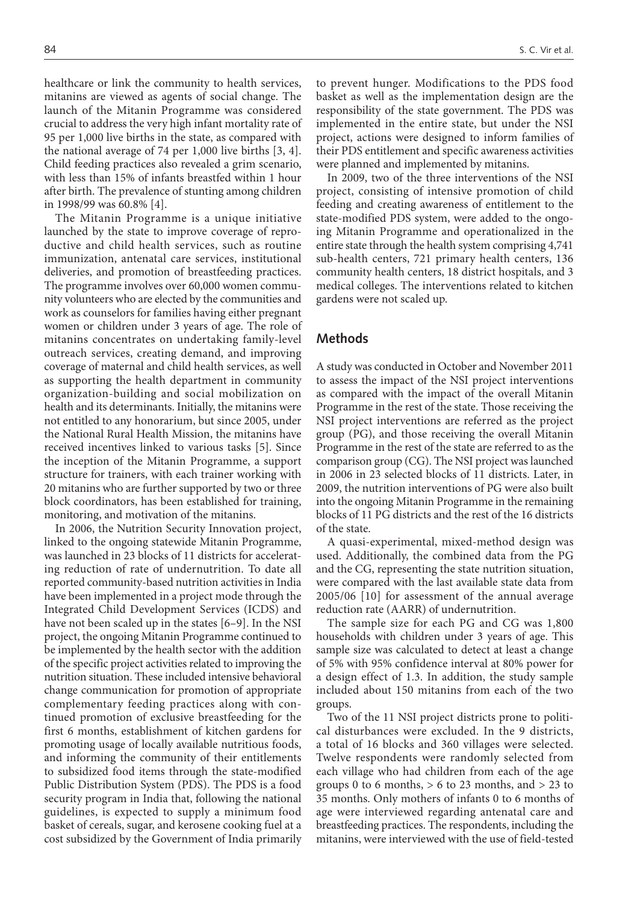healthcare or link the community to health services, mitanins are viewed as agents of social change. The launch of the Mitanin Programme was considered crucial to address the very high infant mortality rate of 95 per 1,000 live births in the state, as compared with the national average of 74 per 1,000 live births [3, 4]. Child feeding practices also revealed a grim scenario, with less than 15% of infants breastfed within 1 hour after birth. The prevalence of stunting among children in 1998/99 was 60.8% [4].

The Mitanin Programme is a unique initiative launched by the state to improve coverage of reproductive and child health services, such as routine immunization, antenatal care services, institutional deliveries, and promotion of breastfeeding practices. The programme involves over 60,000 women community volunteers who are elected by the communities and work as counselors for families having either pregnant women or children under 3 years of age. The role of mitanins concentrates on undertaking family-level outreach services, creating demand, and improving coverage of maternal and child health services, as well as supporting the health department in community organization-building and social mobilization on health and its determinants. Initially, the mitanins were not entitled to any honorarium, but since 2005, under the National Rural Health Mission, the mitanins have received incentives linked to various tasks [5]. Since the inception of the Mitanin Programme, a support structure for trainers, with each trainer working with 20 mitanins who are further supported by two or three block coordinators, has been established for training, monitoring, and motivation of the mitanins.

In 2006, the Nutrition Security Innovation project, linked to the ongoing statewide Mitanin Programme, was launched in 23 blocks of 11 districts for accelerating reduction of rate of undernutrition. To date all reported community-based nutrition activities in India have been implemented in a project mode through the Integrated Child Development Services (ICDS) and have not been scaled up in the states [6–9]. In the NSI project, the ongoing Mitanin Programme continued to be implemented by the health sector with the addition of the specific project activities related to improving the nutrition situation. These included intensive behavioral change communication for promotion of appropriate complementary feeding practices along with continued promotion of exclusive breastfeeding for the first 6 months, establishment of kitchen gardens for promoting usage of locally available nutritious foods, and informing the community of their entitlements to subsidized food items through the state-modified Public Distribution System (PDS). The PDS is a food security program in India that, following the national guidelines, is expected to supply a minimum food basket of cereals, sugar, and kerosene cooking fuel at a cost subsidized by the Government of India primarily to prevent hunger. Modifications to the PDS food basket as well as the implementation design are the responsibility of the state government. The PDS was implemented in the entire state, but under the NSI project, actions were designed to inform families of their PDS entitlement and specific awareness activities were planned and implemented by mitanins.

In 2009, two of the three interventions of the NSI project, consisting of intensive promotion of child feeding and creating awareness of entitlement to the state-modified PDS system, were added to the ongoing Mitanin Programme and operationalized in the entire state through the health system comprising 4,741 sub-health centers, 721 primary health centers, 136 community health centers, 18 district hospitals, and 3 medical colleges. The interventions related to kitchen gardens were not scaled up.

# **Methods**

A study was conducted in October and November 2011 to assess the impact of the NSI project interventions as compared with the impact of the overall Mitanin Programme in the rest of the state. Those receiving the NSI project interventions are referred as the project group (PG), and those receiving the overall Mitanin Programme in the rest of the state are referred to as the comparison group (CG). The NSI project was launched in 2006 in 23 selected blocks of 11 districts. Later, in 2009, the nutrition interventions of PG were also built into the ongoing Mitanin Programme in the remaining blocks of 11 PG districts and the rest of the 16 districts of the state.

A quasi-experimental, mixed-method design was used. Additionally, the combined data from the PG and the CG, representing the state nutrition situation, were compared with the last available state data from 2005/06 [10] for assessment of the annual average reduction rate (AARR) of undernutrition.

The sample size for each PG and CG was 1,800 households with children under 3 years of age. This sample size was calculated to detect at least a change of 5% with 95% confidence interval at 80% power for a design effect of 1.3. In addition, the study sample included about 150 mitanins from each of the two groups.

Two of the 11 NSI project districts prone to political disturbances were excluded. In the 9 districts, a total of 16 blocks and 360 villages were selected. Twelve respondents were randomly selected from each village who had children from each of the age groups 0 to 6 months,  $> 6$  to 23 months, and  $> 23$  to 35 months. Only mothers of infants 0 to 6 months of age were interviewed regarding antenatal care and breastfeeding practices. The respondents, including the mitanins, were interviewed with the use of field-tested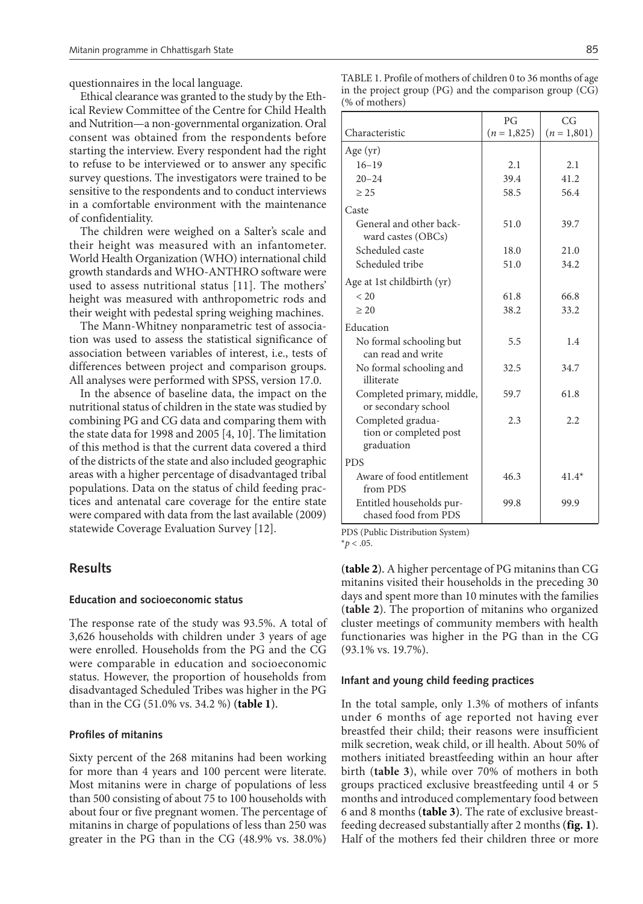questionnaires in the local language.

Ethical clearance was granted to the study by the Ethical Review Committee of the Centre for Child Health and Nutrition—a non-governmental organization. Oral consent was obtained from the respondents before starting the interview. Every respondent had the right to refuse to be interviewed or to answer any specific survey questions. The investigators were trained to be sensitive to the respondents and to conduct interviews in a comfortable environment with the maintenance of confidentiality.

The children were weighed on a Salter's scale and their height was measured with an infantometer. World Health Organization (WHO) international child growth standards and WHO-ANTHRO software were used to assess nutritional status [11]. The mothers' height was measured with anthropometric rods and their weight with pedestal spring weighing machines.

The Mann-Whitney nonparametric test of association was used to assess the statistical significance of association between variables of interest, i.e., tests of differences between project and comparison groups. All analyses were performed with SPSS, version 17.0.

In the absence of baseline data, the impact on the nutritional status of children in the state was studied by combining PG and CG data and comparing them with the state data for 1998 and 2005 [4, 10]. The limitation of this method is that the current data covered a third of the districts of the state and also included geographic areas with a higher percentage of disadvantaged tribal populations. Data on the status of child feeding practices and antenatal care coverage for the entire state were compared with data from the last available (2009) statewide Coverage Evaluation Survey [12].

## **Results**

#### **Education and socioeconomic status**

The response rate of the study was 93.5%. A total of 3,626 households with children under 3 years of age were enrolled. Households from the PG and the CG were comparable in education and socioeconomic status. However, the proportion of households from disadvantaged Scheduled Tribes was higher in the PG than in the CG (51.0% vs. 34.2 %) (**table 1**).

#### **Profiles of mitanins**

Sixty percent of the 268 mitanins had been working for more than 4 years and 100 percent were literate. Most mitanins were in charge of populations of less than 500 consisting of about 75 to 100 households with about four or five pregnant women. The percentage of mitanins in charge of populations of less than 250 was greater in the PG than in the CG (48.9% vs. 38.0%)

| TABLE 1. Profile of mothers of children 0 to 36 months of age |  |
|---------------------------------------------------------------|--|
| in the project group $(PG)$ and the comparison group $(CG)$   |  |
| (% of mothers)                                                |  |

|                                                           | PG          | CG          |
|-----------------------------------------------------------|-------------|-------------|
| Characteristic                                            | $(n=1,825)$ | $(n=1,801)$ |
| Age $(yr)$                                                |             |             |
| $16 - 19$                                                 | 2.1         | 2.1         |
| $20 - 24$                                                 | 39.4        | 41.2        |
| $\geq$ 25                                                 | 58.5        | 56.4        |
| Caste                                                     |             |             |
| General and other back-<br>ward castes (OBCs)             | 51.0        | 39.7        |
| Scheduled caste                                           | 18.0        | 21.0        |
| Scheduled tribe                                           | 51.0        | 34.2        |
| Age at 1st childbirth (yr)                                |             |             |
| < 20                                                      | 61.8        | 66.8        |
| $\geq 20$                                                 | 38.2        | 33.2        |
| Education                                                 |             |             |
| No formal schooling but<br>can read and write             | 5.5         | 1.4         |
| No formal schooling and<br>illiterate                     | 32.5        | 34.7        |
| Completed primary, middle,<br>or secondary school         | 59.7        | 61.8        |
| Completed gradua-<br>tion or completed post<br>graduation | 2.3         | 2.2         |
| <b>PDS</b>                                                |             |             |
| Aware of food entitlement<br>from PDS                     | 46.3        | $41.4*$     |
| Entitled households pur-<br>chased food from PDS          | 99.8        | 99.9        |

PDS (Public Distribution System)

 $*$ *p* < .05.

(**table 2**). A higher percentage of PG mitanins than CG mitanins visited their households in the preceding 30 days and spent more than 10 minutes with the families (**table 2**). The proportion of mitanins who organized cluster meetings of community members with health functionaries was higher in the PG than in the CG (93.1% vs. 19.7%).

#### **Infant and young child feeding practices**

In the total sample, only 1.3% of mothers of infants under 6 months of age reported not having ever breastfed their child; their reasons were insufficient milk secretion, weak child, or ill health. About 50% of mothers initiated breastfeeding within an hour after birth (**table 3**), while over 70% of mothers in both groups practiced exclusive breastfeeding until 4 or 5 months and introduced complementary food between 6 and 8 months (**table 3**). The rate of exclusive breastfeeding decreased substantially after 2 months (**fig. 1**). Half of the mothers fed their children three or more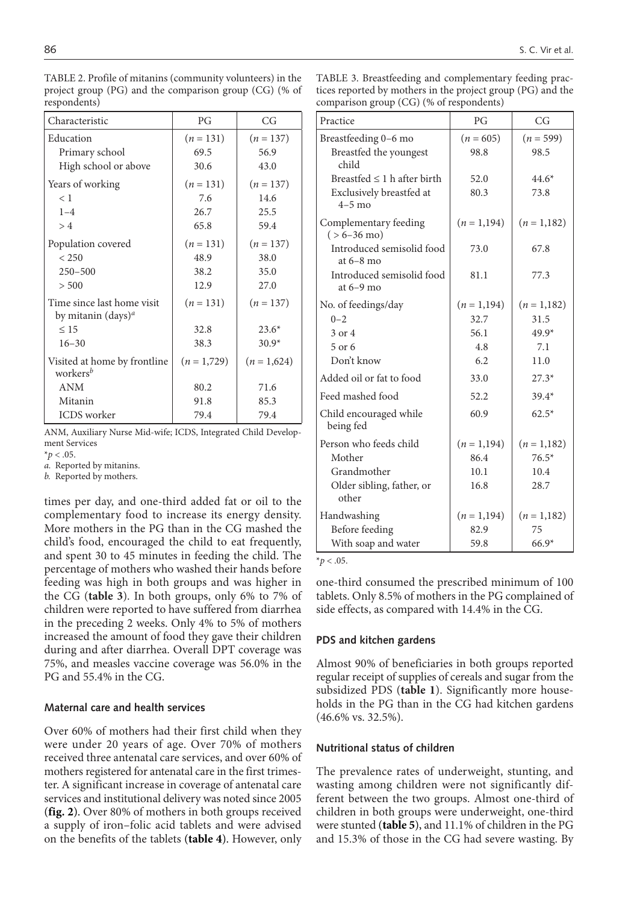| Characteristic                                               | PG          | CG            |
|--------------------------------------------------------------|-------------|---------------|
| Education                                                    | $(n = 131)$ | $(n = 137)$   |
| Primary school                                               | 69.5        | 56.9          |
| High school or above                                         | 30.6        | 43.0          |
| Years of working                                             | $(n = 131)$ | $(n = 137)$   |
| < 1                                                          | 7.6         | 14.6          |
| $1 - 4$                                                      | 26.7        | 25.5          |
| >4                                                           | 65.8        | 59.4          |
| Population covered                                           | $(n = 131)$ | $(n = 137)$   |
| < 250                                                        | 48.9        | 38.0          |
| $250 - 500$                                                  | 38.2        | 35.0          |
| > 500                                                        | 12.9        | 27.0          |
| Time since last home visit<br>by mitanin (days) <sup>a</sup> | $(n = 131)$ | $(n = 137)$   |
| $\leq 15$                                                    | 32.8        | $23.6*$       |
| $16 - 30$                                                    | 38.3        | $30.9*$       |
| Visited at home by frontline<br>workers <sup>b</sup>         | $(n=1,729)$ | $(n = 1,624)$ |
| <b>ANM</b>                                                   | 80.2        | 71.6          |
| Mitanin                                                      | 91.8        | 85.3          |
| <b>ICDS</b> worker                                           | 79.4        | 79.4          |

TABLE 2. Profile of mitanins (community volunteers) in the project group (PG) and the comparison group (CG) (% of respondents)

ANM, Auxiliary Nurse Mid-wife; ICDS, Integrated Child Development Services

 $*_{\mathcal{D}} < .05$ .

*a.* Reported by mitanins.

*b.* Reported by mothers.

times per day, and one-third added fat or oil to the complementary food to increase its energy density. More mothers in the PG than in the CG mashed the child's food, encouraged the child to eat frequently, and spent 30 to 45 minutes in feeding the child. The percentage of mothers who washed their hands before feeding was high in both groups and was higher in the CG (**table 3**). In both groups, only 6% to 7% of children were reported to have suffered from diarrhea in the preceding 2 weeks. Only 4% to 5% of mothers increased the amount of food they gave their children during and after diarrhea. Overall DPT coverage was 75%, and measles vaccine coverage was 56.0% in the PG and 55.4% in the CG.

## **Maternal care and health services**

Over 60% of mothers had their first child when they were under 20 years of age. Over 70% of mothers received three antenatal care services, and over 60% of mothers registered for antenatal care in the first trimester. A significant increase in coverage of antenatal care services and institutional delivery was noted since 2005 (**fig. 2**). Over 80% of mothers in both groups received a supply of iron–folic acid tablets and were advised on the benefits of the tablets (**table 4**). However, only

| TABLE 3. Breastfeeding and complementary feeding prac-      |
|-------------------------------------------------------------|
| tices reported by mothers in the project group (PG) and the |
| comparison group (CG) (% of respondents)                    |

| Practice                                          | PG          | CG          |
|---------------------------------------------------|-------------|-------------|
| Breastfeeding 0-6 mo                              | $(n = 605)$ | $(n = 599)$ |
| Breastfed the youngest<br>child                   | 98.8        | 98.5        |
| Breastfed $\leq 1$ h after birth                  | 52.0        | $44.6*$     |
| Exclusively breastfed at<br>$4-5$ mo              | 80.3        | 73.8        |
| Complementary feeding<br>$( > 6 - 36 \text{ mo})$ | $(n=1,194)$ | $(n=1,182)$ |
| Introduced semisolid food<br>at $6-8$ mo          | 73.0        | 67.8        |
| Introduced semisolid food<br>at $6-9$ mo          | 81.1        | 77.3        |
| No. of feedings/day                               | $(n=1,194)$ | $(n=1,182)$ |
| $0 - 2$                                           | 32.7        | 31.5        |
| 3 or 4                                            | 56.1        | $49.9*$     |
| 5 or 6                                            | 4.8         | 7.1         |
| Don't know                                        | 6.2         | 11.0        |
| Added oil or fat to food                          | 33.0        | $27.3*$     |
| Feed mashed food                                  | 52.2        | $39.4*$     |
| Child encouraged while<br>being fed               | 60.9        | $62.5*$     |
| Person who feeds child                            | $(n=1,194)$ | $(n=1,182)$ |
| Mother                                            | 86.4        | $76.5*$     |
| Grandmother                                       | 10.1        | 10.4        |
| Older sibling, father, or<br>other                | 16.8        | 28.7        |
| Handwashing                                       | $(n=1,194)$ | $(n=1,182)$ |
| Before feeding                                    | 82.9        | 75          |
| With soap and water                               | 59.8        | $66.9*$     |

 $*_{p}$  < .05.

one-third consumed the prescribed minimum of 100 tablets. Only 8.5% of mothers in the PG complained of side effects, as compared with 14.4% in the CG.

#### **PDS and kitchen gardens**

Almost 90% of beneficiaries in both groups reported regular receipt of supplies of cereals and sugar from the subsidized PDS (**table 1**). Significantly more households in the PG than in the CG had kitchen gardens (46.6% vs. 32.5%).

## **Nutritional status of children**

The prevalence rates of underweight, stunting, and wasting among children were not significantly different between the two groups. Almost one-third of children in both groups were underweight, one-third were stunted (**table 5**), and 11.1% of children in the PG and 15.3% of those in the CG had severe wasting. By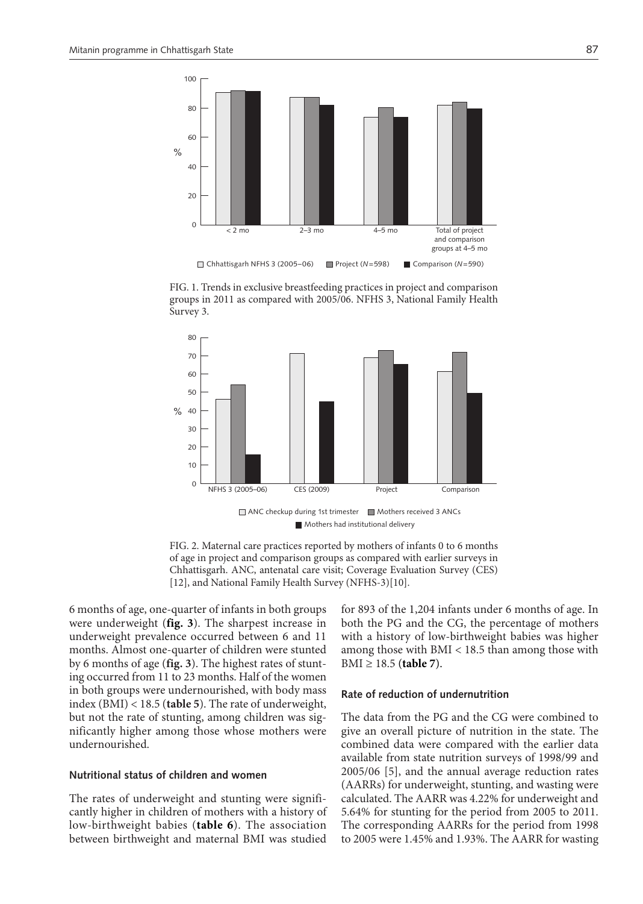

FIG. 1. Trends in exclusive breastfeeding practices in project and comparison groups in 2011 as compared with 2005/06. NFHS 3, National Family Health Survey 3.





6 months of age, one-quarter of infants in both groups were underweight (**fig. 3**). The sharpest increase in underweight prevalence occurred between 6 and 11 months. Almost one-quarter of children were stunted by 6 months of age (**fig. 3**). The highest rates of stunting occurred from 11 to 23 months. Half of the women in both groups were undernourished, with body mass index (BMI) < 18.5 (**table 5**). The rate of underweight, but not the rate of stunting, among children was significantly higher among those whose mothers were undernourished.

#### **Nutritional status of children and women**

The rates of underweight and stunting were significantly higher in children of mothers with a history of low-birthweight babies (**table 6**). The association between birthweight and maternal BMI was studied

for 893 of the 1,204 infants under 6 months of age. In both the PG and the CG, the percentage of mothers with a history of low-birthweight babies was higher among those with BMI < 18.5 than among those with BMI ≥ 18.5 (**table 7**).

### **Rate of reduction of undernutrition**

The data from the PG and the CG were combined to give an overall picture of nutrition in the state. The combined data were compared with the earlier data available from state nutrition surveys of 1998/99 and 2005/06 [5], and the annual average reduction rates (AARRs) for underweight, stunting, and wasting were calculated. The AARR was 4.22% for underweight and 5.64% for stunting for the period from 2005 to 2011. The corresponding AARRs for the period from 1998 to 2005 were 1.45% and 1.93%. The AARR for wasting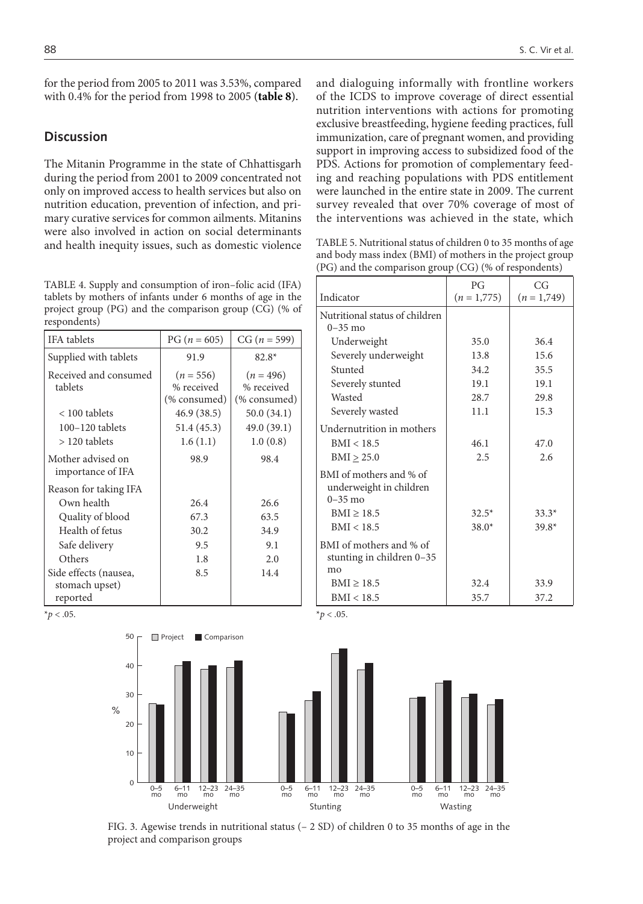for the period from 2005 to 2011 was 3.53%, compared with 0.4% for the period from 1998 to 2005 (**table 8**).

# **Discussion**

The Mitanin Programme in the state of Chhattisgarh during the period from 2001 to 2009 concentrated not only on improved access to health services but also on nutrition education, prevention of infection, and primary curative services for common ailments. Mitanins were also involved in action on social determinants and health inequity issues, such as domestic violence

TABLE 4. Supply and consumption of iron–folic acid (IFA) tablets by mothers of infants under 6 months of age in the project group (PG) and the comparison group (CG) (% of respondents)

| <b>IFA</b> tablets                                  | $PG (n = 605)$                            | $CG (n = 599)$                            |
|-----------------------------------------------------|-------------------------------------------|-------------------------------------------|
| Supplied with tablets                               | 91.9                                      | $82.8*$                                   |
| Received and consumed<br>tablets                    | $(n = 556)$<br>% received<br>(% consumed) | $(n = 496)$<br>% received<br>(% consumed) |
| $< 100$ tablets                                     | 46.9 (38.5)                               | 50.0(34.1)                                |
| $100 - 120$ tablets                                 | 51.4 (45.3)                               | 49.0 (39.1)                               |
| $>120$ tablets                                      | 1.6(1.1)                                  | 1.0(0.8)                                  |
| Mother advised on<br>importance of IFA              | 98.9                                      | 98.4                                      |
| Reason for taking IFA                               |                                           |                                           |
| Own health                                          | 26.4                                      | 26.6                                      |
| Quality of blood                                    | 67.3                                      | 63.5                                      |
| Health of fetus                                     | 30.2                                      | 34.9                                      |
| Safe delivery                                       | 9.5                                       | 9.1                                       |
| Others                                              | 1.8                                       | 2.0                                       |
| Side effects (nausea,<br>stomach upset)<br>reported | 8.5                                       | 14.4                                      |

and dialoguing informally with frontline workers of the ICDS to improve coverage of direct essential nutrition interventions with actions for promoting exclusive breastfeeding, hygiene feeding practices, full immunization, care of pregnant women, and providing support in improving access to subsidized food of the PDS. Actions for promotion of complementary feeding and reaching populations with PDS entitlement were launched in the entire state in 2009. The current survey revealed that over 70% coverage of most of the interventions was achieved in the state, which

TABLE 5. Nutritional status of children 0 to 35 months of age and body mass index (BMI) of mothers in the project group (PG) and the comparison group (CG) (% of respondents)

|                                                                   | PG            | CG          |
|-------------------------------------------------------------------|---------------|-------------|
| Indicator                                                         | $(n = 1,775)$ | $(n=1,749)$ |
| Nutritional status of children<br>$0 - 35$ mo                     |               |             |
| Underweight                                                       | 35.0          | 36.4        |
| Severely underweight                                              | 13.8          | 15.6        |
| Stunted                                                           | 34.2          | 35.5        |
| Severely stunted                                                  | 19.1          | 19.1        |
| Wasted                                                            | 28.7          | 29.8        |
| Severely wasted                                                   | 11.1          | 15.3        |
| Undernutrition in mothers                                         |               |             |
| BMI < 18.5                                                        | 46.1          | 47.0        |
| $BMI \geq 25.0$                                                   | 2.5           | 2.6         |
| BMI of mothers and % of<br>underweight in children<br>$0 - 35$ mo |               |             |
| $BMI \geq 18.5$                                                   | $32.5*$       | $33.3*$     |
| BMI < 18.5                                                        | $38.0*$       | $39.8*$     |
| BMI of mothers and % of<br>stunting in children 0-35<br>mo        |               |             |
| $BMI \geq 18.5$                                                   | 32.4          | 33.9        |
| BMI < 18.5                                                        | 35.7          | 37.2        |

 $*_{p}$  < .05.



FIG. 3. Agewise trends in nutritional status (– 2 SD) of children 0 to 35 months of age in the project and comparison groups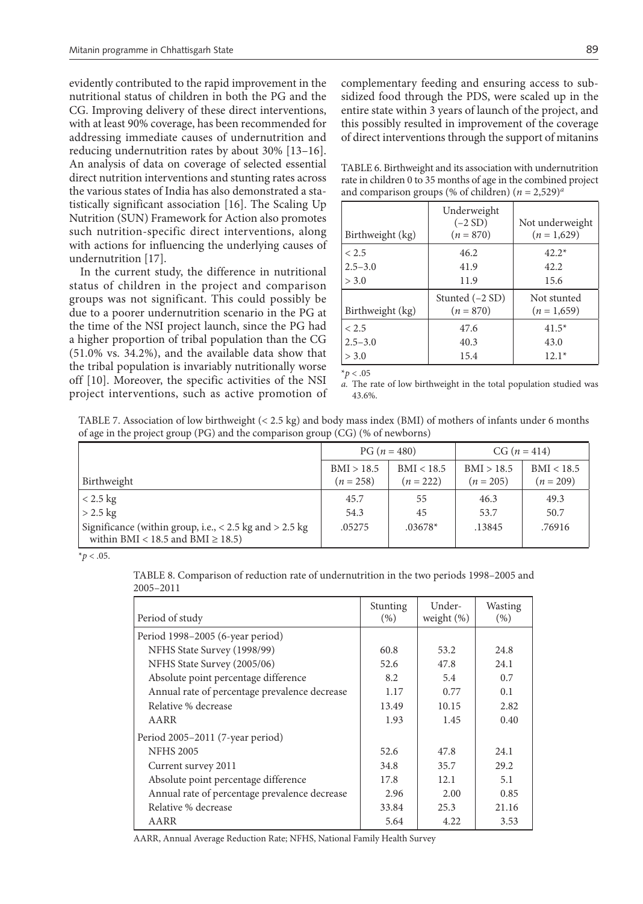evidently contributed to the rapid improvement in the nutritional status of children in both the PG and the CG. Improving delivery of these direct interventions, with at least 90% coverage, has been recommended for addressing immediate causes of undernutrition and reducing undernutrition rates by about 30% [13–16]. An analysis of data on coverage of selected essential direct nutrition interventions and stunting rates across the various states of India has also demonstrated a statistically significant association [16]. The Scaling Up Nutrition (SUN) Framework for Action also promotes such nutrition-specific direct interventions, along with actions for influencing the underlying causes of undernutrition [17].

In the current study, the difference in nutritional status of children in the project and comparison groups was not significant. This could possibly be due to a poorer undernutrition scenario in the PG at the time of the NSI project launch, since the PG had a higher proportion of tribal population than the CG (51.0% vs. 34.2%), and the available data show that the tribal population is invariably nutritionally worse off [10]. Moreover, the specific activities of the NSI project interventions, such as active promotion of complementary feeding and ensuring access to subsidized food through the PDS, were scaled up in the entire state within 3 years of launch of the project, and this possibly resulted in improvement of the coverage of direct interventions through the support of mitanins

TABLE 6. Birthweight and its association with undernutrition rate in children 0 to 35 months of age in the combined project and comparison groups (% of children)  $(n = 2,529)^a$ 

| Birthweight (kg) | Underweight<br>$(-2 SD)$<br>$(n = 870)$ | Not underweight<br>$(n=1,629)$ |
|------------------|-----------------------------------------|--------------------------------|
| < 2.5            | 46.2                                    | $42.2*$                        |
| $2.5 - 3.0$      | 41.9                                    | 42.2.                          |
| > 3.0            | 11.9                                    | 15.6                           |
| Birthweight (kg) | Stunted $(-2 SD)$<br>$(n = 870)$        | Not stunted<br>$(n=1,659)$     |
| < 2.5            | 47.6                                    | $41.5*$                        |
| $2.5 - 3.0$      | 40.3                                    | 43.0                           |
| > 3.0            | 15.4                                    | $12.1*$                        |

 $*_{p}$  < .05

*a.* The rate of low birthweight in the total population studied was 43.6%.

TABLE 7. Association of low birthweight (< 2.5 kg) and body mass index (BMI) of mothers of infants under 6 months of age in the project group (PG) and the comparison group (CG) (% of newborns)

|                                                                                                       | $PG (n = 480)$            |                           | $CG (n = 414)$            |                           |
|-------------------------------------------------------------------------------------------------------|---------------------------|---------------------------|---------------------------|---------------------------|
| Birthweight                                                                                           | BMI > 18.5<br>$(n = 258)$ | BMI < 18.5<br>$(n = 222)$ | BMI > 18.5<br>$(n = 205)$ | BMI < 18.5<br>$(n = 209)$ |
| $< 2.5$ kg                                                                                            | 45.7                      | 55                        | 46.3                      | 49.3                      |
| $> 2.5$ kg                                                                                            | 54.3                      | 45                        | 53.7                      | 50.7                      |
| Significance (within group, i.e., $< 2.5$ kg and $> 2.5$ kg<br>within BMI < 18.5 and BMI $\geq$ 18.5) | .05275                    | $.03678*$                 | .13845                    | .76916                    |

 $*$ *p* < .05.

TABLE 8. Comparison of reduction rate of undernutrition in the two periods 1998–2005 and 2005–2011

| Period of study                               | Stunting<br>(% ) | Under-<br>weight $(\%)$ | Wasting<br>(% ) |
|-----------------------------------------------|------------------|-------------------------|-----------------|
| Period 1998–2005 (6-year period)              |                  |                         |                 |
| NFHS State Survey (1998/99)                   | 60.8             | 53.2                    | 24.8            |
| NFHS State Survey (2005/06)                   | 52.6             | 47.8                    | 24.1            |
| Absolute point percentage difference          | 8.2              | 5.4                     | 0.7             |
| Annual rate of percentage prevalence decrease | 1.17             | 0.77                    | 0.1             |
| Relative % decrease                           | 13.49            | 10.15                   | 2.82            |
| AARR                                          | 1.93             | 1.45                    | 0.40            |
| Period 2005-2011 (7-year period)              |                  |                         |                 |
| <b>NFHS 2005</b>                              | 52.6             | 47.8                    | 24.1            |
| Current survey 2011                           | 34.8             | 35.7                    | 29.2            |
| Absolute point percentage difference          | 17.8             | 12.1                    | 5.1             |
| Annual rate of percentage prevalence decrease | 2.96             | 2.00                    | 0.85            |
| Relative % decrease                           | 33.84            | 25.3                    | 21.16           |
| AARR                                          | 5.64             | 4.22                    | 3.53            |

AARR, Annual Average Reduction Rate; NFHS, National Family Health Survey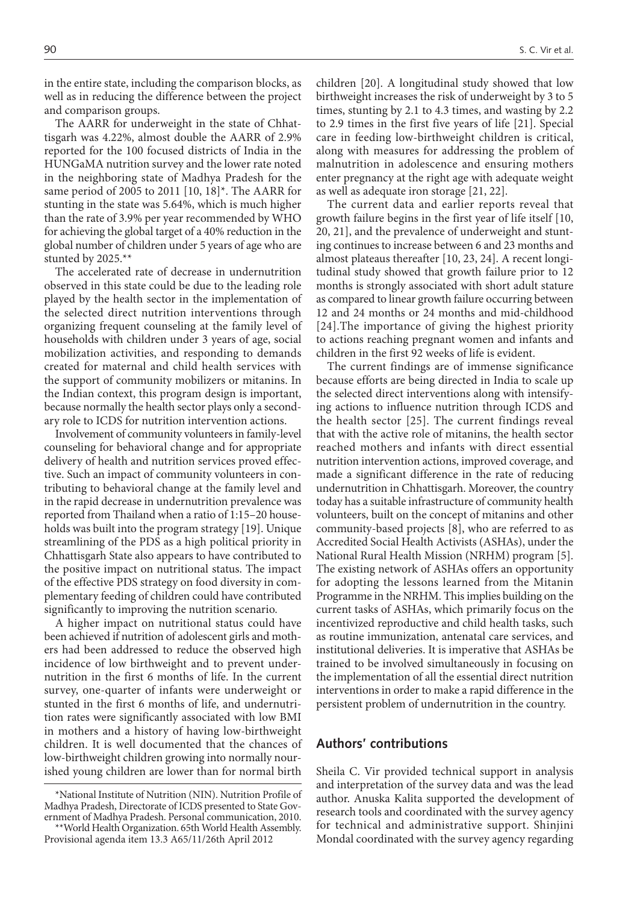in the entire state, including the comparison blocks, as well as in reducing the difference between the project and comparison groups.

The AARR for underweight in the state of Chhattisgarh was 4.22%, almost double the AARR of 2.9% reported for the 100 focused districts of India in the HUNGaMA nutrition survey and the lower rate noted in the neighboring state of Madhya Pradesh for the same period of 2005 to 2011 [10, 18]\*. The AARR for stunting in the state was 5.64%, which is much higher than the rate of 3.9% per year recommended by WHO for achieving the global target of a 40% reduction in the global number of children under 5 years of age who are stunted by 2025.\*\*

The accelerated rate of decrease in undernutrition observed in this state could be due to the leading role played by the health sector in the implementation of the selected direct nutrition interventions through organizing frequent counseling at the family level of households with children under 3 years of age, social mobilization activities, and responding to demands created for maternal and child health services with the support of community mobilizers or mitanins. In the Indian context, this program design is important, because normally the health sector plays only a secondary role to ICDS for nutrition intervention actions.

Involvement of community volunteers in family-level counseling for behavioral change and for appropriate delivery of health and nutrition services proved effective. Such an impact of community volunteers in contributing to behavioral change at the family level and in the rapid decrease in undernutrition prevalence was reported from Thailand when a ratio of 1:15–20 households was built into the program strategy [19]. Unique streamlining of the PDS as a high political priority in Chhattisgarh State also appears to have contributed to the positive impact on nutritional status. The impact of the effective PDS strategy on food diversity in complementary feeding of children could have contributed significantly to improving the nutrition scenario.

A higher impact on nutritional status could have been achieved if nutrition of adolescent girls and mothers had been addressed to reduce the observed high incidence of low birthweight and to prevent undernutrition in the first 6 months of life. In the current survey, one-quarter of infants were underweight or stunted in the first 6 months of life, and undernutrition rates were significantly associated with low BMI in mothers and a history of having low-birthweight children. It is well documented that the chances of low-birthweight children growing into normally nourished young children are lower than for normal birth

children [20]. A longitudinal study showed that low birthweight increases the risk of underweight by 3 to 5 times, stunting by 2.1 to 4.3 times, and wasting by 2.2 to 2.9 times in the first five years of life [21]. Special care in feeding low-birthweight children is critical, along with measures for addressing the problem of malnutrition in adolescence and ensuring mothers enter pregnancy at the right age with adequate weight as well as adequate iron storage [21, 22].

The current data and earlier reports reveal that growth failure begins in the first year of life itself [10, 20, 21], and the prevalence of underweight and stunting continues to increase between 6 and 23 months and almost plateaus thereafter [10, 23, 24]. A recent longitudinal study showed that growth failure prior to 12 months is strongly associated with short adult stature as compared to linear growth failure occurring between 12 and 24 months or 24 months and mid-childhood [24].The importance of giving the highest priority to actions reaching pregnant women and infants and children in the first 92 weeks of life is evident.

The current findings are of immense significance because efforts are being directed in India to scale up the selected direct interventions along with intensifying actions to influence nutrition through ICDS and the health sector [25]. The current findings reveal that with the active role of mitanins, the health sector reached mothers and infants with direct essential nutrition intervention actions, improved coverage, and made a significant difference in the rate of reducing undernutrition in Chhattisgarh. Moreover, the country today has a suitable infrastructure of community health volunteers, built on the concept of mitanins and other community-based projects [8], who are referred to as Accredited Social Health Activists (ASHAs), under the National Rural Health Mission (NRHM) program [5]. The existing network of ASHAs offers an opportunity for adopting the lessons learned from the Mitanin Programme in the NRHM. This implies building on the current tasks of ASHAs, which primarily focus on the incentivized reproductive and child health tasks, such as routine immunization, antenatal care services, and institutional deliveries. It is imperative that ASHAs be trained to be involved simultaneously in focusing on the implementation of all the essential direct nutrition interventions in order to make a rapid difference in the persistent problem of undernutrition in the country.

# **Authors' contributions**

Sheila C. Vir provided technical support in analysis and interpretation of the survey data and was the lead author. Anuska Kalita supported the development of research tools and coordinated with the survey agency for technical and administrative support. Shinjini Mondal coordinated with the survey agency regarding

<sup>\*</sup>National Institute of Nutrition (NIN). Nutrition Profile of Madhya Pradesh, Directorate of ICDS presented to State Government of Madhya Pradesh. Personal communication, 2010. \*\*World Health Organization. 65th World Health Assembly. Provisional agenda item 13.3 A65/11/26th April 2012